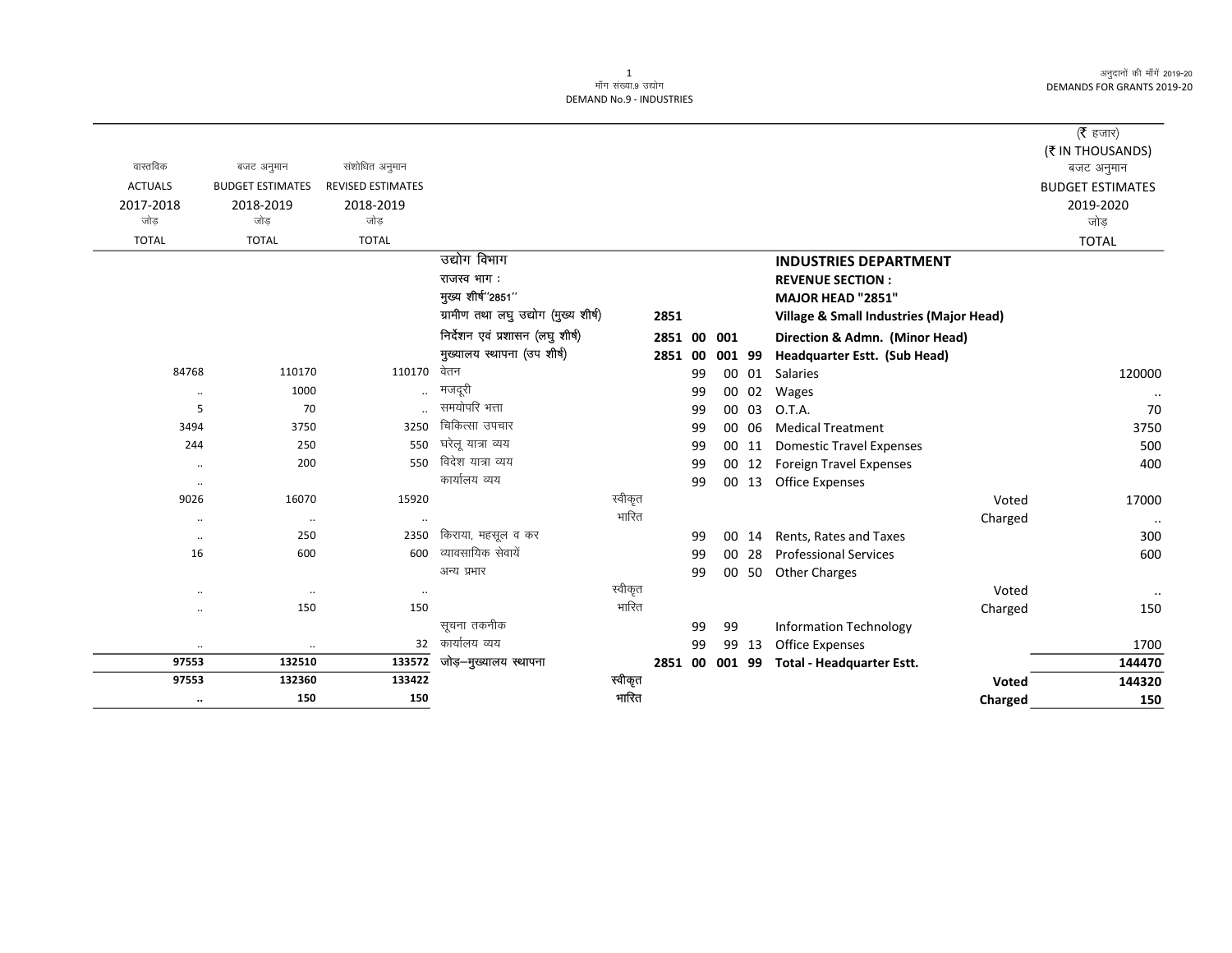|                |                         |                          |                                      |         |         |    |                 |       |                                                    |         | ( $\bar{\tau}$ हजार)    |
|----------------|-------------------------|--------------------------|--------------------------------------|---------|---------|----|-----------------|-------|----------------------------------------------------|---------|-------------------------|
|                |                         |                          |                                      |         |         |    |                 |       |                                                    |         | (₹ IN THOUSANDS)        |
| वास्तविक       | बजट अनुमान              | संशोधित अनुमान           |                                      |         |         |    |                 |       |                                                    |         | बजट अनुमान              |
| <b>ACTUALS</b> | <b>BUDGET ESTIMATES</b> | <b>REVISED ESTIMATES</b> |                                      |         |         |    |                 |       |                                                    |         | <b>BUDGET ESTIMATES</b> |
| 2017-2018      | 2018-2019               | 2018-2019                |                                      |         |         |    |                 |       |                                                    |         | 2019-2020               |
| जोड            | जोड                     | जोड                      |                                      |         |         |    |                 |       |                                                    |         | जोड                     |
| <b>TOTAL</b>   | <b>TOTAL</b>            | <b>TOTAL</b>             |                                      |         |         |    |                 |       |                                                    |         | <b>TOTAL</b>            |
|                |                         |                          | उद्योग विभाग                         |         |         |    |                 |       | <b>INDUSTRIES DEPARTMENT</b>                       |         |                         |
|                |                         |                          | राजस्व भाग:                          |         |         |    |                 |       | <b>REVENUE SECTION:</b>                            |         |                         |
|                |                         |                          | मुख्य शीर्ष"2851"                    |         |         |    |                 |       | MAJOR HEAD "2851"                                  |         |                         |
|                |                         |                          | ग्रामीण तथा लघु उद्योग (मुख्य शीर्ष) |         | 2851    |    |                 |       | <b>Village &amp; Small Industries (Major Head)</b> |         |                         |
|                |                         |                          | निर्देशन एवं प्रशासन (लघु शीर्ष)     |         | 2851 00 |    | 001             |       | Direction & Admn. (Minor Head)                     |         |                         |
|                |                         |                          | मुख्यालय स्थापना (उप शीर्ष)          |         | 2851    | 00 | 001 99          |       | Headquarter Estt. (Sub Head)                       |         |                         |
| 84768          | 110170                  | 110170                   | वेतन                                 |         |         | 99 |                 | 00 01 | Salaries                                           |         | 120000                  |
| $\ldots$       | 1000                    |                          | मजदूरी                               |         |         | 99 |                 | 00 02 | Wages                                              |         | $\ldots$                |
| 5              | 70                      |                          | समयोपरि भत्ता                        |         |         | 99 |                 | 00 03 | O.T.A.                                             |         | 70                      |
| 3494           | 3750                    | 3250                     | चिकित्सा उपचार                       |         |         | 99 |                 | 00 06 | <b>Medical Treatment</b>                           |         | 3750                    |
| 244            | 250                     | 550                      | घरेलू यात्रा व्यय                    |         |         | 99 |                 | 00 11 | <b>Domestic Travel Expenses</b>                    |         | 500                     |
| $\ldots$       | 200                     | 550                      | विदेश यात्रा व्यय                    |         |         | 99 |                 | 00 12 | <b>Foreign Travel Expenses</b>                     |         | 400                     |
| $\ldots$       |                         |                          | कार्यालय व्यय                        |         |         | 99 |                 | 00 13 | <b>Office Expenses</b>                             |         |                         |
| 9026           | 16070                   | 15920                    |                                      | स्वीकृत |         |    |                 |       |                                                    | Voted   | 17000                   |
| $\cdot\cdot$   | $\ddotsc$               | $\ldots$                 |                                      | भारित   |         |    |                 |       |                                                    | Charged | $\ldots$                |
| $\ldots$       | 250                     | 2350                     | किराया, महसूल व कर                   |         |         | 99 |                 | 00 14 | Rents, Rates and Taxes                             |         | 300                     |
| 16             | 600                     | 600                      | व्यावसायिक सेवायें                   |         |         | 99 | 00 <sup>1</sup> | 28    | <b>Professional Services</b>                       |         | 600                     |
|                |                         |                          | अन्य प्रभार                          |         |         | 99 |                 | 00 50 | <b>Other Charges</b>                               |         |                         |
| $\ddotsc$      | $\ldots$                | $\ddotsc$                |                                      | स्वीकृत |         |    |                 |       |                                                    | Voted   | $\ldots$                |
| $\ldots$       | 150                     | 150                      |                                      | भारित   |         |    |                 |       |                                                    | Charged | 150                     |
|                |                         |                          | सूचना तकनीक                          |         |         | 99 | 99              |       | <b>Information Technology</b>                      |         |                         |
| $\ldots$       |                         | 32                       | कार्यालय व्यय                        |         |         | 99 |                 | 99 13 | Office Expenses                                    |         | 1700                    |
| 97553          | 132510                  | 133572                   | जोड़–मुख्यालय स्थापना                |         | 2851 00 |    |                 |       | 001 99 Total - Headquarter Estt.                   |         | 144470                  |
| 97553          | 132360                  | 133422                   |                                      | स्वीकृत |         |    |                 |       |                                                    | Voted   | 144320                  |
|                | 150                     | 150                      |                                      | भारित   |         |    |                 |       |                                                    | Charged | 150                     |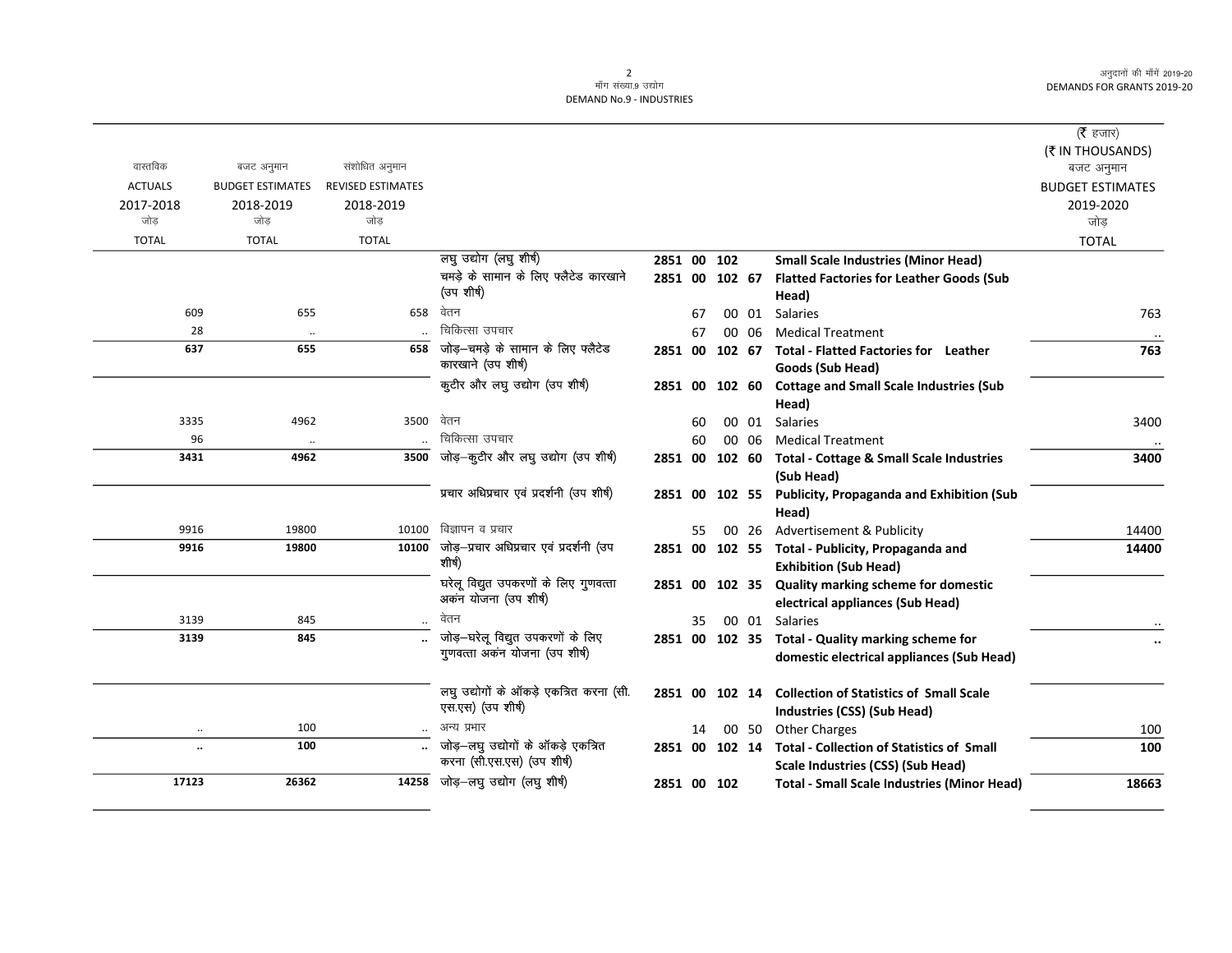|                |                         |                          |                                           |                |    |        |       |                                                        | ( <b>रै</b> हजार)       |
|----------------|-------------------------|--------------------------|-------------------------------------------|----------------|----|--------|-------|--------------------------------------------------------|-------------------------|
|                |                         |                          |                                           |                |    |        |       |                                                        | (そ IN THOUSANDS)        |
| वास्तविक       | बजट अनुमान              | संशोधित अनुमान           |                                           |                |    |        |       |                                                        | बजट अनुमान              |
| <b>ACTUALS</b> | <b>BUDGET ESTIMATES</b> | <b>REVISED ESTIMATES</b> |                                           |                |    |        |       |                                                        | <b>BUDGET ESTIMATES</b> |
| 2017-2018      | 2018-2019               | 2018-2019                |                                           |                |    |        |       |                                                        | 2019-2020               |
| जोड            | जोड                     | जोड                      |                                           |                |    |        |       |                                                        | जोड़                    |
| <b>TOTAL</b>   | <b>TOTAL</b>            | <b>TOTAL</b>             |                                           |                |    |        |       |                                                        | <b>TOTAL</b>            |
|                |                         |                          | लघु उद्योग (लघु शीर्ष)                    | 2851 00 102    |    |        |       | <b>Small Scale Industries (Minor Head)</b>             |                         |
|                |                         |                          | चमड़े के सामान के लिए फ्लैटेड कारखाने     | 2851 00 102 67 |    |        |       | <b>Flatted Factories for Leather Goods (Sub</b>        |                         |
|                |                         |                          | (उप शीर्ष)                                |                |    |        |       | Head)                                                  |                         |
| 609            | 655                     | 658                      | वेतन                                      |                | 67 |        | 00 01 | Salaries                                               | 763                     |
| 28             | $\ldots$                |                          | चिकित्सा उपचार                            |                | 67 |        | 00 06 | <b>Medical Treatment</b>                               |                         |
| 637            | 655                     | 658                      | जोड़-चमड़े के सामान के लिए फ्लैटेड        | 2851 00        |    |        |       | 102 67 Total - Flatted Factories for Leather           | 763                     |
|                |                         |                          | कारखाने (उप शीर्ष)                        |                |    |        |       | Goods (Sub Head)                                       |                         |
|                |                         |                          | कुटीर और लघु उद्योग (उप शीर्ष)            |                |    |        |       | 2851 00 102 60 Cottage and Small Scale Industries (Sub |                         |
|                |                         |                          |                                           |                |    |        |       | Head)                                                  |                         |
| 3335           | 4962                    | 3500                     | वेतन                                      |                | 60 |        | 00 01 | <b>Salaries</b>                                        | 3400                    |
| 96             | $\cdot\cdot$            |                          | चिकित्सा उपचार                            |                | 60 |        | 00 06 | <b>Medical Treatment</b>                               |                         |
| 3431           | 4962                    | 3500                     | जोड़-कुटीर और लघु उद्योग (उप शीर्ष)       | 2851 00        |    | 102 60 |       | <b>Total - Cottage &amp; Small Scale Industries</b>    | 3400                    |
|                |                         |                          |                                           |                |    |        |       | (Sub Head)                                             |                         |
|                |                         |                          | प्रचार अधिप्रचार एवं प्रदर्शनी (उप शीर्ष) | 2851 00 102 55 |    |        |       | <b>Publicity, Propaganda and Exhibition (Sub</b>       |                         |
|                |                         |                          |                                           |                |    |        |       | Head)                                                  |                         |
| 9916           | 19800                   | 10100                    | विज्ञापन व प्रचार                         |                | 55 |        | 00 26 | Advertisement & Publicity                              | 14400                   |
| 9916           | 19800                   | 10100                    | जोड़-प्रचार अधिप्रचार एवं प्रदर्शनी (उप   |                |    |        |       | 2851 00 102 55 Total - Publicity, Propaganda and       | 14400                   |
|                |                         |                          | शीर्ष)                                    |                |    |        |       | <b>Exhibition (Sub Head)</b>                           |                         |
|                |                         |                          | घरेलू विद्युत उपकरणों के लिए गुणवत्ता     |                |    |        |       | 2851 00 102 35 Quality marking scheme for domestic     |                         |
|                |                         |                          | अकन योजना (उप शीर्ष)                      |                |    |        |       | electrical appliances (Sub Head)                       |                         |
| 3139           | 845                     |                          | वेतन                                      |                | 35 |        |       | 00 01 Salaries                                         |                         |
| 3139           | 845                     |                          | जोड़-घरेलू विद्युत उपकरणों के लिए         |                |    |        |       | 2851 00 102 35 Total - Quality marking scheme for      |                         |
|                |                         |                          | गुणवत्ता अकन योजना (उप शीर्ष)             |                |    |        |       | domestic electrical appliances (Sub Head)              |                         |
|                |                         |                          |                                           |                |    |        |       |                                                        |                         |
|                |                         |                          | लघु उद्योगों के ऑकड़े एकत्रित करना (सी.   | 2851 00 102 14 |    |        |       | <b>Collection of Statistics of Small Scale</b>         |                         |
|                |                         |                          | एस.एस) (उप शीर्ष)                         |                |    |        |       | Industries (CSS) (Sub Head)                            |                         |
|                | 100                     |                          | अन्य प्रभार                               |                | 14 |        | 00 50 | <b>Other Charges</b>                                   | 100                     |
|                | 100                     |                          | जोड़-लघु उद्योगों के ऑकड़े एकत्रित        | 2851 00 102 14 |    |        |       | <b>Total - Collection of Statistics of Small</b>       | 100                     |
|                |                         |                          | करना (सी.एस.एस) (उप शीर्ष)                |                |    |        |       | Scale Industries (CSS) (Sub Head)                      |                         |
| 17123          | 26362                   | 14258                    | जोड़-लघु उद्योग (लघु शीर्ष)               | 2851 00 102    |    |        |       | <b>Total - Small Scale Industries (Minor Head)</b>     | 18663                   |
|                |                         |                          |                                           |                |    |        |       |                                                        |                         |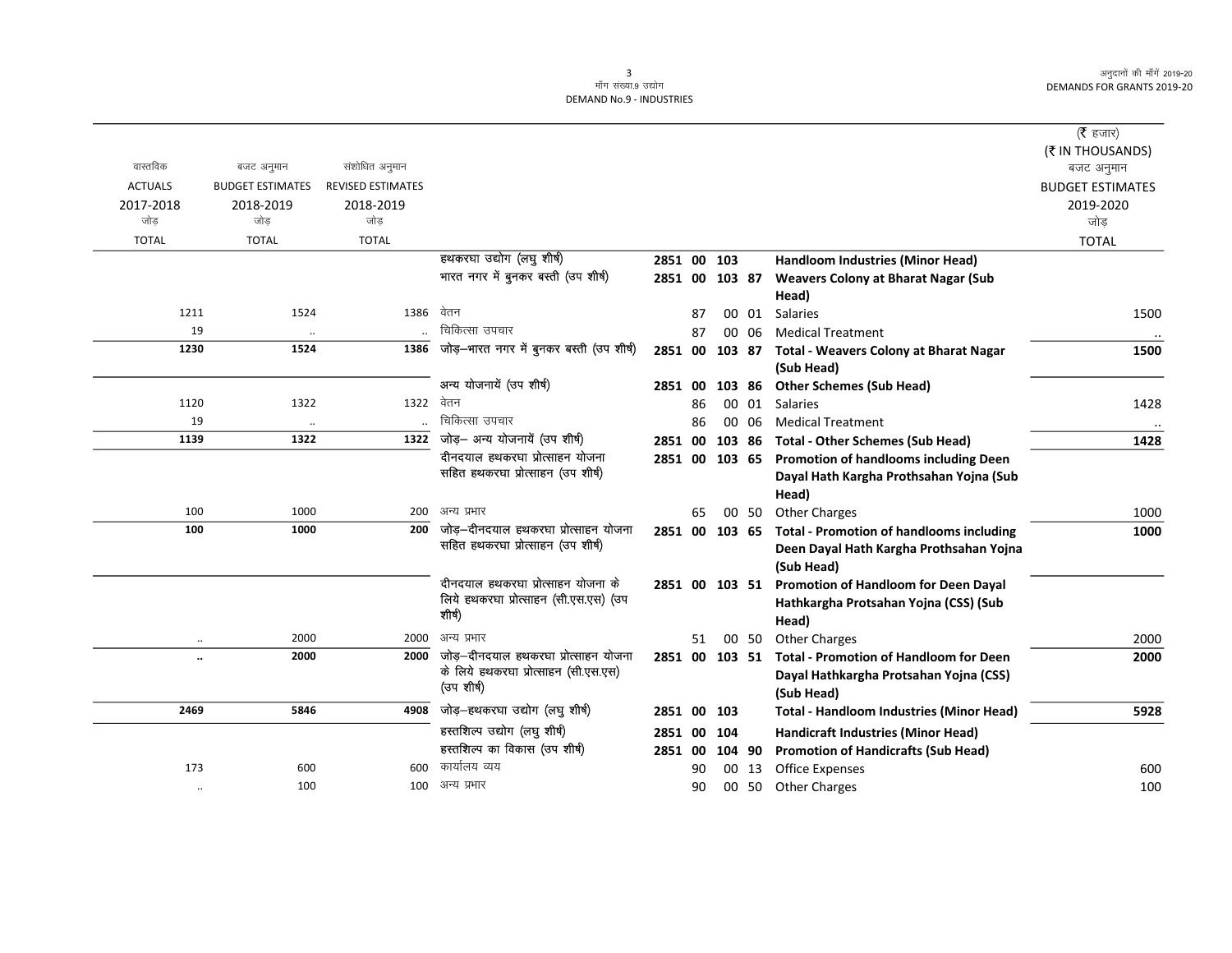|                      |                         |                          |                                                                           |                |    |                |       |                                                                              | ( $\bar{\tau}$ हजार)           |
|----------------------|-------------------------|--------------------------|---------------------------------------------------------------------------|----------------|----|----------------|-------|------------------------------------------------------------------------------|--------------------------------|
| वास्तविक             | बजट अनुमान              | संशोधित अनुमान           |                                                                           |                |    |                |       |                                                                              | (₹ IN THOUSANDS)<br>बजट अनुमान |
| <b>ACTUALS</b>       | <b>BUDGET ESTIMATES</b> | <b>REVISED ESTIMATES</b> |                                                                           |                |    |                |       |                                                                              | <b>BUDGET ESTIMATES</b>        |
| 2017-2018            | 2018-2019               | 2018-2019                |                                                                           |                |    |                |       |                                                                              | 2019-2020                      |
| जोड                  | जोड                     | जोड                      |                                                                           |                |    |                |       |                                                                              | जोड़                           |
| <b>TOTAL</b>         | <b>TOTAL</b>            | <b>TOTAL</b>             |                                                                           |                |    |                |       |                                                                              | <b>TOTAL</b>                   |
|                      |                         |                          | हथकरघा उद्योग (लघु शीर्ष)                                                 | 2851 00 103    |    |                |       | <b>Handloom Industries (Minor Head)</b>                                      |                                |
|                      |                         |                          | भारत नगर में बुनकर बस्ती (उप शीर्ष)                                       |                |    | 2851 00 103 87 |       | <b>Weavers Colony at Bharat Nagar (Sub</b>                                   |                                |
|                      |                         |                          |                                                                           |                |    |                |       | Head)                                                                        |                                |
| 1211                 | 1524                    | 1386                     | वेतन                                                                      |                | 87 |                | 00 01 | <b>Salaries</b>                                                              | 1500                           |
| 19                   | $\ddot{\phantom{0}}$    |                          | चिकित्सा उपचार                                                            |                | 87 |                | 00 06 | <b>Medical Treatment</b>                                                     |                                |
| 1230                 | 1524                    | 1386                     | जोड़-भारत नगर में बुनकर बस्ती (उप शीर्ष)                                  | 2851 00 103 87 |    |                |       | <b>Total - Weavers Colony at Bharat Nagar</b>                                | 1500                           |
|                      |                         |                          |                                                                           |                |    |                |       | (Sub Head)                                                                   |                                |
|                      |                         |                          | अन्य योजनायें (उप शीर्ष)                                                  | 2851 00        |    | 103 86         |       | <b>Other Schemes (Sub Head)</b>                                              |                                |
| 1120                 | 1322                    | 1322                     | वेतन                                                                      |                | 86 |                | 00 01 | <b>Salaries</b>                                                              | 1428                           |
| 19                   | $\ddotsc$               |                          | चिकित्सा उपचार                                                            |                | 86 |                | 00 06 | <b>Medical Treatment</b>                                                     |                                |
| 1139                 | 1322                    | 1322                     | जोड़- अन्य योजनायें (उप शीर्ष)                                            | 2851 00 103 86 |    |                |       | <b>Total - Other Schemes (Sub Head)</b>                                      | 1428                           |
|                      |                         |                          | दीनदयाल हथकरघा प्रोत्साहन योजना                                           |                |    | 2851 00 103 65 |       | Promotion of handlooms including Deen                                        |                                |
|                      |                         |                          | सहित हथकरघा प्रोत्साहन (उप शीर्ष)                                         |                |    |                |       | Dayal Hath Kargha Prothsahan Yojna (Sub                                      |                                |
|                      |                         |                          |                                                                           |                |    |                |       | Head)                                                                        |                                |
| 100                  | 1000                    | 200                      | अन्य प्रभार                                                               |                | 65 |                | 00 50 | <b>Other Charges</b>                                                         | 1000                           |
| 100                  | 1000                    | 200                      | जोड़–दीनदयाल हथकरघा प्रोत्साहन योजना<br>सहित हथकरघा प्रोत्साहन (उप शीर्ष) | 2851 00 103 65 |    |                |       | <b>Total - Promotion of handlooms including</b>                              | 1000                           |
|                      |                         |                          |                                                                           |                |    |                |       | Deen Dayal Hath Kargha Prothsahan Yojna                                      |                                |
|                      |                         |                          | दीनदयाल हथकरघा प्रोत्साहन योजना के                                        |                |    |                |       | (Sub Head)                                                                   |                                |
|                      |                         |                          | लिये हथकरघा प्रोत्साहन (सी.एस.एस) (उप                                     |                |    |                |       | 2851 00 103 51 Promotion of Handloom for Deen Dayal                          |                                |
|                      |                         |                          | शीर्ष)                                                                    |                |    |                |       | Hathkargha Protsahan Yojna (CSS) (Sub                                        |                                |
|                      | 2000                    | 2000                     | अन्य प्रभार                                                               |                |    |                |       | Head)                                                                        |                                |
| $\ddotsc$            | 2000                    | 2000                     | जोड़-दीनदयाल हथकरघा प्रोत्साहन योजना                                      |                | 51 |                |       | 00 50 Other Charges<br>2851 00 103 51 Total - Promotion of Handloom for Deen | 2000<br>2000                   |
|                      |                         |                          | के लिये हथकरघा प्रोत्साहन (सी.एस.एस)                                      |                |    |                |       |                                                                              |                                |
|                      |                         |                          | (उप शीर्ष)                                                                |                |    |                |       | Dayal Hathkargha Protsahan Yojna (CSS)<br>(Sub Head)                         |                                |
| 2469                 | 5846                    | 4908                     | जोड़-हथकरघा उद्योग (लघु शीर्ष)                                            | 2851 00 103    |    |                |       | <b>Total - Handloom Industries (Minor Head)</b>                              | 5928                           |
|                      |                         |                          | हस्तशिल्प उद्योग (लघु शीर्ष)                                              | 2851 00 104    |    |                |       | <b>Handicraft Industries (Minor Head)</b>                                    |                                |
|                      |                         |                          | हस्तशिल्प का विकास (उप शीर्ष)                                             |                |    | 2851 00 104 90 |       | <b>Promotion of Handicrafts (Sub Head)</b>                                   |                                |
| 173                  | 600                     | 600                      | कार्यालय व्यय                                                             |                | 90 |                | 00 13 | <b>Office Expenses</b>                                                       | 600                            |
| $\ddot{\phantom{a}}$ | 100                     | 100                      | अन्य प्रभार                                                               |                | 90 |                |       | 00 50 Other Charges                                                          | 100                            |
|                      |                         |                          |                                                                           |                |    |                |       |                                                                              |                                |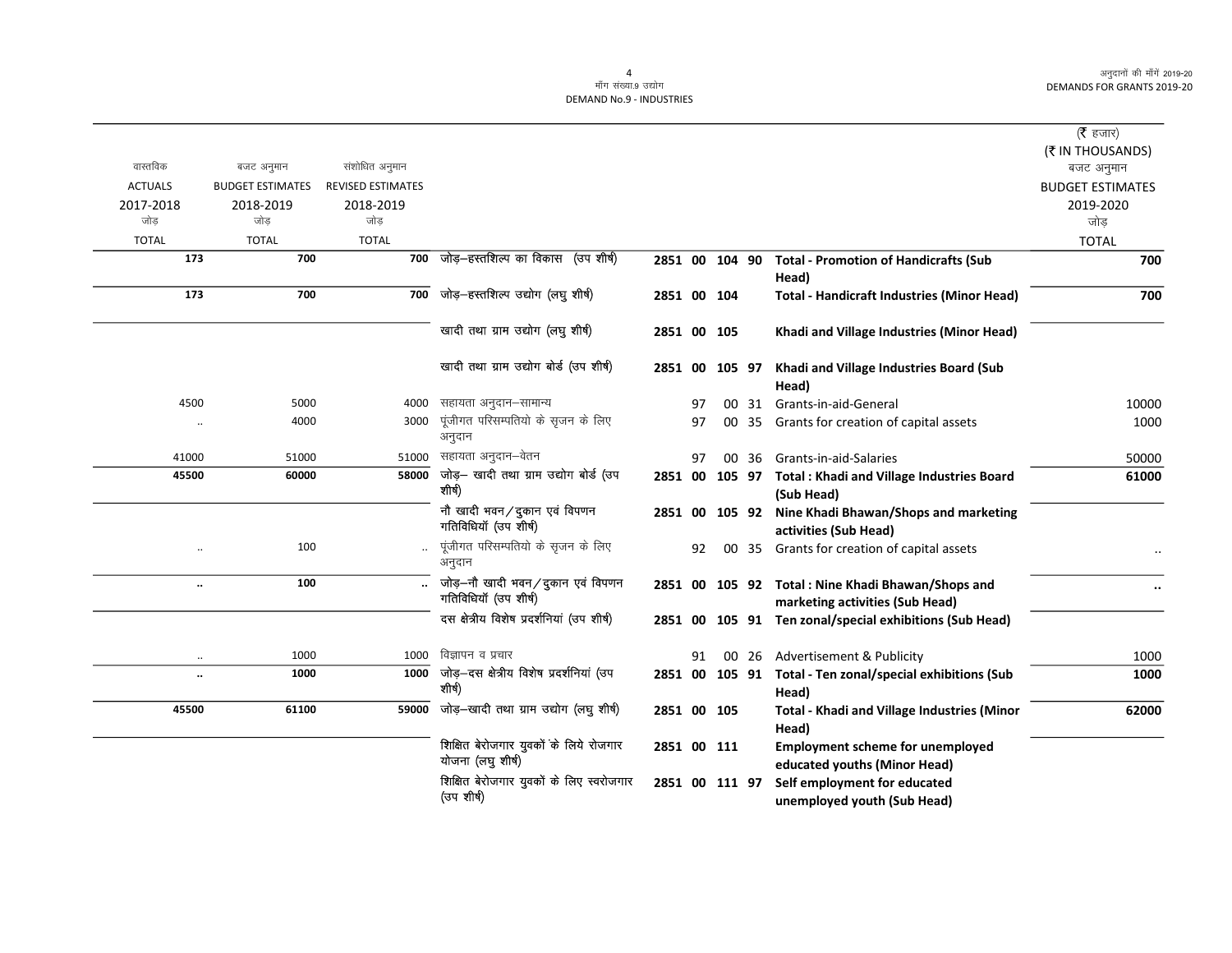### .<br>माँग संख्या ९ उद्योग DEMAND No.9 - INDUSTRIES

| (₹ IN THOUSANDS)        |                                                                                      |       |    |                |                                                             |                          |                         |                |
|-------------------------|--------------------------------------------------------------------------------------|-------|----|----------------|-------------------------------------------------------------|--------------------------|-------------------------|----------------|
|                         |                                                                                      |       |    |                |                                                             | संशोधित अनुमान           | बजट अनुमान              | वास्तविक       |
| <b>BUDGET ESTIMATES</b> |                                                                                      |       |    |                |                                                             | <b>REVISED ESTIMATES</b> | <b>BUDGET ESTIMATES</b> | <b>ACTUALS</b> |
|                         |                                                                                      |       |    |                |                                                             | 2018-2019                | 2018-2019               | 2017-2018      |
|                         |                                                                                      |       |    |                |                                                             | जोड                      | जोड                     | जोड            |
|                         |                                                                                      |       |    |                |                                                             | <b>TOTAL</b>             | <b>TOTAL</b>            | <b>TOTAL</b>   |
|                         | <b>Total - Promotion of Handicrafts (Sub</b>                                         |       |    | 2851 00 104 90 | 700 जोड़-हस्तशिल्प का विकास (उप शीर्ष)                      |                          | 700                     | 173            |
|                         | Head)                                                                                |       |    |                |                                                             |                          |                         |                |
|                         | <b>Total - Handicraft Industries (Minor Head)</b>                                    |       |    | 2851 00 104    | जोड़-हस्तशिल्प उद्योग (लघु शीर्ष)                           | 700                      | 700                     | 173            |
|                         | Khadi and Village Industries (Minor Head)                                            |       |    | 2851 00 105    | खादी तथा ग्राम उद्योग (लघु शीर्ष)                           |                          |                         |                |
|                         | Khadi and Village Industries Board (Sub<br>Head)                                     |       |    | 2851 00 105 97 | खादी तथा ग्राम उद्योग बोर्ड (उप शीर्ष)                      |                          |                         |                |
|                         | 00 31 Grants-in-aid-General                                                          |       | 97 |                | सहायता अनुदान–सामान्य                                       | 4000                     | 5000                    | 4500           |
|                         | 00 35 Grants for creation of capital assets                                          |       | 97 |                | पूंजीगत परिसम्पतियो के सृजन के लिए<br>अनुदान                | 3000                     | 4000                    |                |
|                         | Grants-in-aid-Salaries                                                               | 00 36 | 97 |                | सहायता अनुदान–वेतन                                          | 51000                    | 51000                   | 41000          |
|                         | 2851 00 105 97 Total : Khadi and Village Industries Board<br>(Sub Head)              |       |    |                | जोड़- खादी तथा ग्राम उद्योग बोर्ड (उप<br>शीर्ष)             | 58000                    | 60000                   | 45500          |
|                         | 2851 00 105 92 Nine Khadi Bhawan/Shops and marketing<br>activities (Sub Head)        |       |    |                | नौ खादी भवन/दुकान एवं विपणन<br>गतिविधियॉ (उप शीर्ष)         |                          |                         |                |
|                         | 00 35 Grants for creation of capital assets                                          |       | 92 |                | पूंजीगत परिसम्पतियो के सृजन के लिए<br>अनुदान                |                          | 100                     | $\ddotsc$      |
|                         | 2851 00 105 92 Total: Nine Khadi Bhawan/Shops and<br>marketing activities (Sub Head) |       |    |                | जोड़-नौ खादी भवन/दुकान एवं विपणन<br>गतिविधियॉ (उप शीर्ष)    |                          | 100                     | $\ddotsc$      |
|                         | 2851 00 105 91 Ten zonal/special exhibitions (Sub Head)                              |       |    |                | दस क्षेत्रीय विशेष प्रदर्शनियां (उप शीर्ष)                  |                          |                         |                |
|                         | 00 26 Advertisement & Publicity                                                      |       | 91 |                | विज्ञापन व प्रचार                                           | 1000                     | 1000                    | $\ldots$       |
|                         | 2851 00 105 91 Total - Ten zonal/special exhibitions (Sub<br>Head)                   |       |    |                | 1000 जोड़-दस क्षेत्रीय विशेष प्रदर्शनियां (उप<br>शीर्ष)     |                          | 1000                    | $\ddotsc$      |
|                         | <b>Total - Khadi and Village Industries (Minor</b><br>Head)                          |       |    | 2851 00 105    | जोड़-खादी तथा ग्राम उद्योग (लघु शीर्ष)                      | 59000                    | 61100                   | 45500          |
|                         | <b>Employment scheme for unemployed</b><br>educated youths (Minor Head)              |       |    | 2851 00 111    | शिक्षित बेरोजगार युवकों के लिये रोजगार<br>योजना (लघु शीर्ष) |                          |                         |                |
|                         | Self employment for educated<br>unemployed youth (Sub Head)                          |       |    | 2851 00 111 97 | शिक्षित बेरोजगार युवकों के लिए स्वरोजगार<br>(उप शीर्ष)      |                          |                         |                |

 $\overline{4}$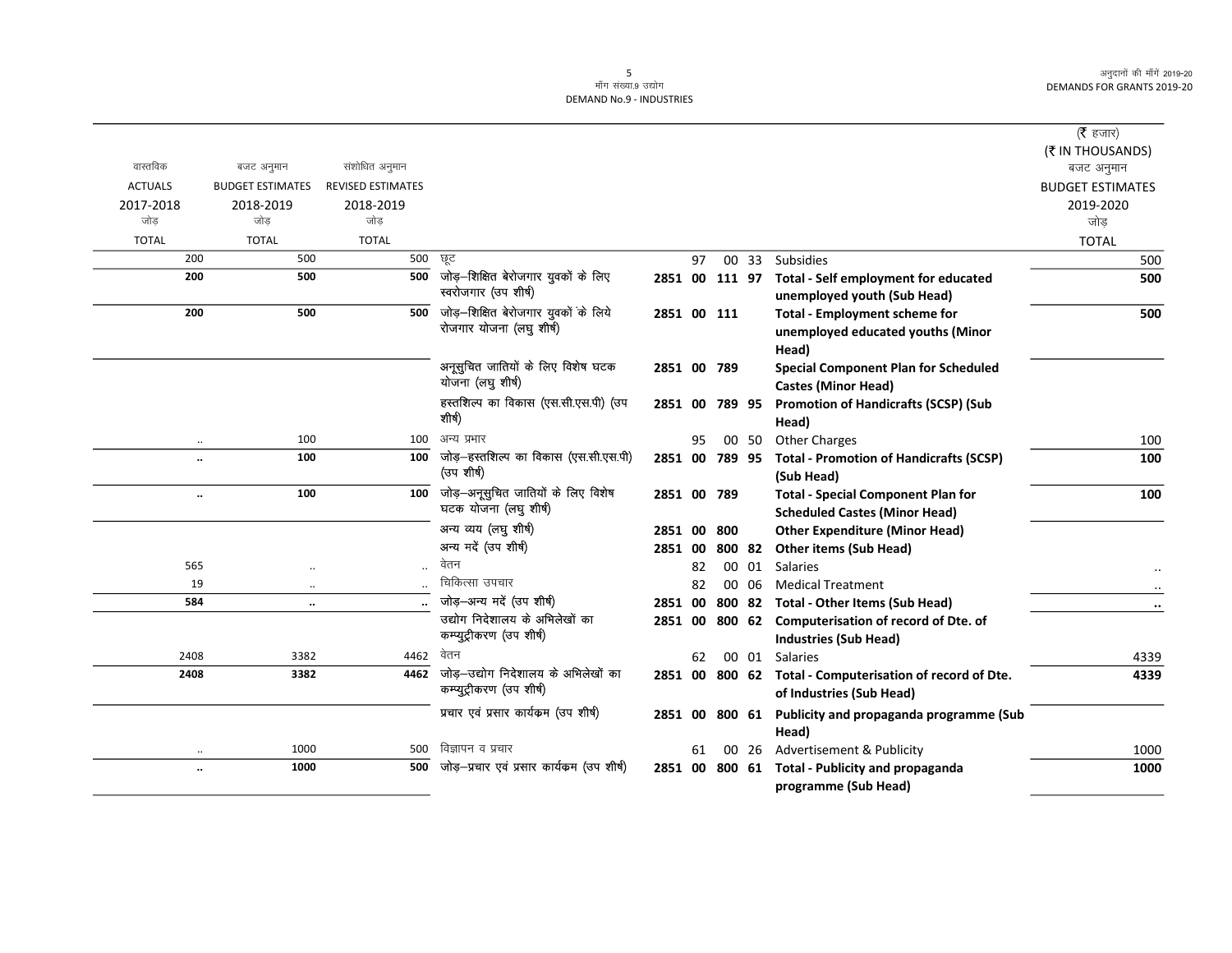|                      |                         |                          |                                                        |                |    |                |       |                                                                                   | (रै हजार)               |
|----------------------|-------------------------|--------------------------|--------------------------------------------------------|----------------|----|----------------|-------|-----------------------------------------------------------------------------------|-------------------------|
|                      |                         |                          |                                                        |                |    |                |       |                                                                                   | (₹ IN THOUSANDS)        |
| वास्तविक             | बजट अनुमान              | संशोधित अनुमान           |                                                        |                |    |                |       |                                                                                   | बजट अनुमान              |
| <b>ACTUALS</b>       | <b>BUDGET ESTIMATES</b> | <b>REVISED ESTIMATES</b> |                                                        |                |    |                |       |                                                                                   | <b>BUDGET ESTIMATES</b> |
| 2017-2018            | 2018-2019               | 2018-2019                |                                                        |                |    |                |       |                                                                                   | 2019-2020               |
| जोड                  | जोड                     | जोड                      |                                                        |                |    |                |       |                                                                                   | जोड़                    |
| <b>TOTAL</b>         | <b>TOTAL</b>            | <b>TOTAL</b>             |                                                        |                |    |                |       |                                                                                   | <b>TOTAL</b>            |
| 200                  | 500                     | 500                      | छूट                                                    |                | 97 |                |       | 00 33 Subsidies                                                                   | 500                     |
| 200                  | 500                     | 500                      | जोड़—शिक्षित बेरोजगार युवकों के लिए                    |                |    | 2851 00 111 97 |       | <b>Total - Self employment for educated</b>                                       | 500                     |
|                      |                         |                          | स्वरोजगार (उप शीर्ष)                                   |                |    |                |       | unemployed youth (Sub Head)                                                       |                         |
| 200                  | 500                     | 500                      | जोड़—शिक्षित बेरोजगार युवकों के लिये                   |                |    | 2851 00 111    |       | <b>Total - Employment scheme for</b>                                              | 500                     |
|                      |                         |                          | रोजगार योजना (लघु शीर्ष)                               |                |    |                |       | unemployed educated youths (Minor                                                 |                         |
|                      |                         |                          |                                                        |                |    |                |       | Head)                                                                             |                         |
|                      |                         |                          | अनूसुचित जातियों के लिए विशेष घटक<br>योजना (लघु शीर्ष) | 2851 00 789    |    |                |       | <b>Special Component Plan for Scheduled</b>                                       |                         |
|                      |                         |                          |                                                        |                |    |                |       | <b>Castes (Minor Head)</b>                                                        |                         |
|                      |                         |                          | हस्तशिल्प का विकास (एस.सी.एस.पी) (उप<br>शीर्ष)         |                |    | 2851 00 789 95 |       | <b>Promotion of Handicrafts (SCSP) (Sub</b>                                       |                         |
|                      |                         |                          |                                                        |                |    |                |       | Head)                                                                             |                         |
|                      | 100<br>$\ddotsc$        | 100                      | अन्य प्रभार<br>जोड़-हस्तशिल्प का विकास (एस.सी.एस.पी)   |                | 95 |                | 00 50 | <b>Other Charges</b>                                                              | 100                     |
| $\ddot{\phantom{a}}$ | 100                     | 100                      | (उप शीर्ष)                                             | 2851 00 789 95 |    |                |       | <b>Total - Promotion of Handicrafts (SCSP)</b>                                    | 100                     |
|                      | 100                     | 100                      | जोड़—अनूसुचित जातियों के लिए विशेष                     |                |    |                |       | (Sub Head)                                                                        |                         |
|                      | $\ldots$                |                          | घटक योजना (लघु शीर्ष)                                  |                |    | 2851 00 789    |       | <b>Total - Special Component Plan for</b><br><b>Scheduled Castes (Minor Head)</b> | 100                     |
|                      |                         |                          | अन्य व्यय (लघु शीर्ष)                                  |                |    | 2851 00 800    |       | <b>Other Expenditure (Minor Head)</b>                                             |                         |
|                      |                         |                          | अन्य मदें (उप शीर्ष)                                   | 2851 00        |    | 800 82         |       | <b>Other items (Sub Head)</b>                                                     |                         |
| 565                  |                         |                          | वेतन                                                   |                | 82 |                | 00 01 | Salaries                                                                          |                         |
| 19                   | $\ddotsc$               |                          | चिकित्सा उपचार                                         |                | 82 |                | 00 06 | <b>Medical Treatment</b>                                                          |                         |
| 584                  | $\ddotsc$               |                          | जोड़-अन्य मदें (उप शीर्ष)                              | 2851 00        |    |                |       | 800 82 Total - Other Items (Sub Head)                                             | $\ddotsc$               |
|                      |                         |                          | उद्योग निदेशालय के अभिलेखों का                         |                |    |                |       | 2851 00 800 62 Computerisation of record of Dte. of                               |                         |
|                      |                         |                          | कम्प्युट्रीकरण (उप शीर्ष)                              |                |    |                |       | <b>Industries (Sub Head)</b>                                                      |                         |
| 2408                 | 3382                    | 4462                     | वेतन                                                   |                | 62 |                |       | 00 01 Salaries                                                                    | 4339                    |
| 2408                 | 3382                    | 4462                     | जोड़-उद्योग निदेशालय के अभिलेखों का                    |                |    | 2851 00 800 62 |       | Total - Computerisation of record of Dte.                                         | 4339                    |
|                      |                         |                          | कम्प्युट्रीकरण (उप शीर्ष)                              |                |    |                |       | of Industries (Sub Head)                                                          |                         |
|                      |                         |                          | प्रचार एवं प्रसार कार्यकम (उप शीर्ष)                   | 2851 00        |    | 800 61         |       | Publicity and propaganda programme (Sub                                           |                         |
|                      |                         |                          |                                                        |                |    |                |       | Head)                                                                             |                         |
|                      | 1000                    | 500                      | विज्ञापन व प्रचार                                      |                | 61 |                | 00 26 | <b>Advertisement &amp; Publicity</b>                                              | 1000                    |
| $\ddot{\phantom{a}}$ | 1000                    | 500                      | जोड़-प्रचार एवं प्रसार कार्यकम (उप शीर्ष)              |                |    | 2851 00 800 61 |       | <b>Total - Publicity and propaganda</b>                                           | 1000                    |
|                      |                         |                          |                                                        |                |    |                |       | programme (Sub Head)                                                              |                         |
|                      |                         |                          |                                                        |                |    |                |       |                                                                                   |                         |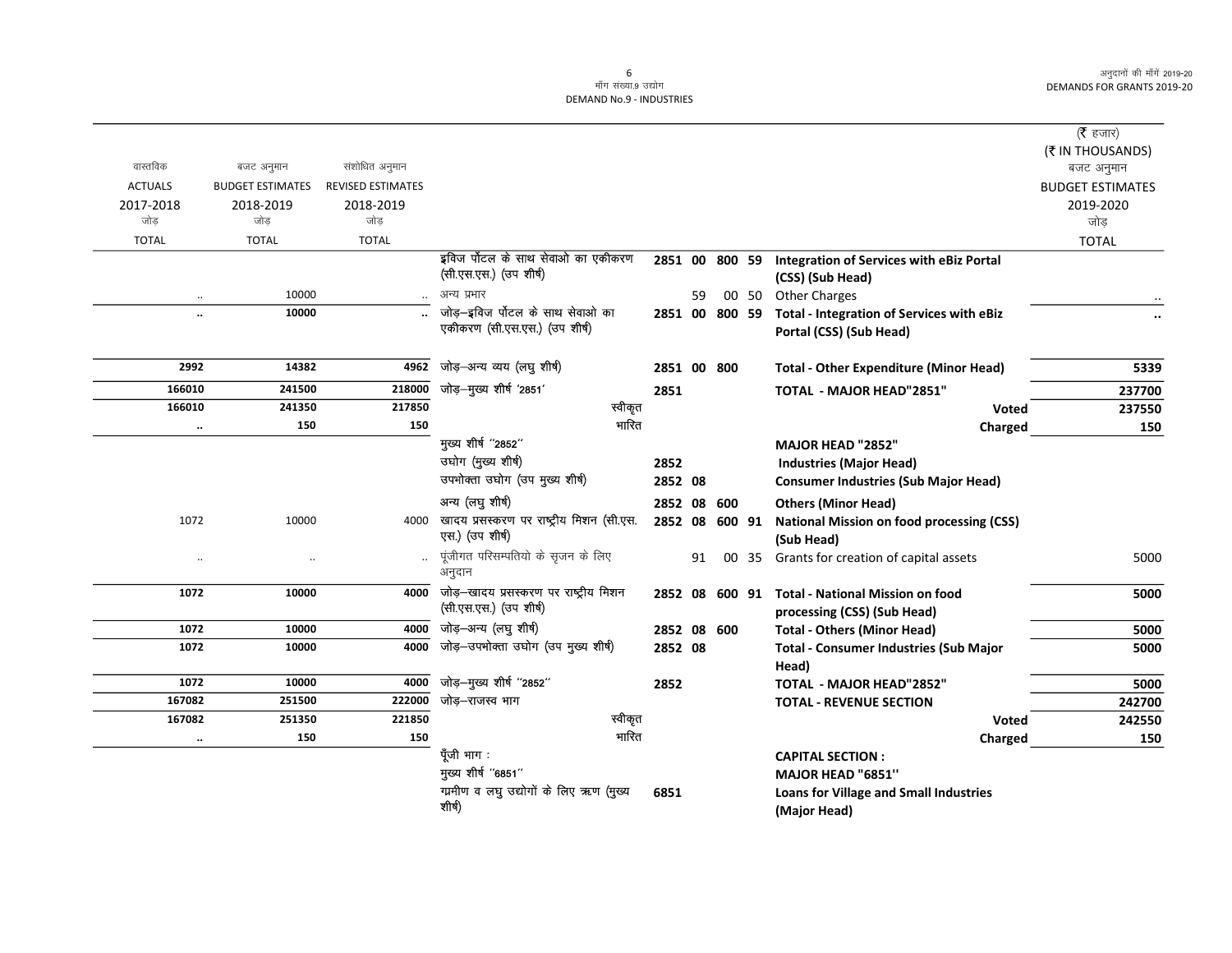$\overline{\phantom{0}}$ 

|                      |                         |                          |                                                                 |             |    |                |                                                                        | ( $\bar{\tau}$ हजार)           |
|----------------------|-------------------------|--------------------------|-----------------------------------------------------------------|-------------|----|----------------|------------------------------------------------------------------------|--------------------------------|
| वास्तविक             | बजट अनुमान              | संशोधित अनुमान           |                                                                 |             |    |                |                                                                        | (₹ IN THOUSANDS)<br>बजट अनुमान |
| <b>ACTUALS</b>       | <b>BUDGET ESTIMATES</b> | <b>REVISED ESTIMATES</b> |                                                                 |             |    |                |                                                                        | <b>BUDGET ESTIMATES</b>        |
| 2017-2018            | 2018-2019               | 2018-2019                |                                                                 |             |    |                |                                                                        | 2019-2020                      |
| जोड                  | जोड                     | जोड                      |                                                                 |             |    |                |                                                                        | जोड                            |
| <b>TOTAL</b>         | <b>TOTAL</b>            | <b>TOTAL</b>             |                                                                 |             |    |                |                                                                        | <b>TOTAL</b>                   |
|                      |                         |                          | इविज पॉटल के साथ सेवाओ का एकीकरण                                |             |    |                | 2851 00 800 59 Integration of Services with eBiz Portal                |                                |
|                      |                         |                          | (सी.एस.एस.) (उप शीर्ष)                                          |             |    |                | (CSS) (Sub Head)                                                       |                                |
| $\ldots$             | 10000                   | $\ddotsc$                | अन्य प्रभार                                                     |             | 59 |                | 00 50 Other Charges                                                    |                                |
| $\ddot{\phantom{a}}$ | 10000                   |                          | जोड़–इविज पोटल के साथ सेवाओ का<br>एकीकरण (सी.एस.एस.) (उप शीर्ष) | 2851 00     |    |                | 800 59 Total - Integration of Services with eBiz                       |                                |
|                      |                         |                          |                                                                 |             |    |                | Portal (CSS) (Sub Head)                                                |                                |
| 2992                 | 14382                   | 4962                     | जोड़-अन्य व्यय (लघु शीर्ष)                                      | 2851 00 800 |    |                | <b>Total - Other Expenditure (Minor Head)</b>                          | 5339                           |
| 166010               | 241500                  | 218000                   | जोड़–मुख्य शीर्ष '2851'                                         | 2851        |    |                | <b>TOTAL - MAJOR HEAD"2851"</b>                                        | 237700                         |
| 166010               | 241350                  | 217850                   | स्वीकृत                                                         |             |    |                | <b>Voted</b>                                                           | 237550                         |
| $\cdot\cdot$         | 150                     | 150                      | भारित                                                           |             |    |                | Charged                                                                | 150                            |
|                      |                         |                          | मुख्य शीर्ष "2852"                                              |             |    |                | <b>MAJOR HEAD "2852"</b>                                               |                                |
|                      |                         |                          | उघोग (मुख्य शीर्ष)                                              | 2852        |    |                | <b>Industries (Major Head)</b>                                         |                                |
|                      |                         |                          | उपभोक्ता उघोग (उप मुख्य शीर्ष)                                  | 2852 08     |    |                | <b>Consumer Industries (Sub Major Head)</b>                            |                                |
|                      |                         |                          | अन्य (लघु शीर्ष)                                                | 2852 08     |    | 600            | <b>Others (Minor Head)</b>                                             |                                |
| 1072                 | 10000                   | 4000                     | खादय प्रसस्करण पर राष्ट्रीय मिशन (सी.एस.<br>एस.) (उप शीर्ष)     |             |    | 2852 08 600 91 | <b>National Mission on food processing (CSS)</b><br>(Sub Head)         |                                |
| $\ddot{\phantom{0}}$ | $\ddot{\phantom{a}}$    |                          | पूंजीगत परिसम्पतियो के सृजन के लिए<br>अनुदान                    |             | 91 |                | 00 35 Grants for creation of capital assets                            | 5000                           |
| 1072                 | 10000                   | 4000                     | जोड़-खादय प्रसस्करण पर राष्ट्रीय मिशन<br>(सी.एस.एस.) (उप शीर्ष) |             |    | 2852 08 600 91 | <b>Total - National Mission on food</b><br>processing (CSS) (Sub Head) | 5000                           |
| 1072                 | 10000                   | 4000                     | जोड़-अन्य (लघु शीर्ष)                                           | 2852 08 600 |    |                | <b>Total - Others (Minor Head)</b>                                     | 5000                           |
| 1072                 | 10000                   | 4000                     | जोड़-उपभोक्ता उघोग (उप मुख्य शीर्ष)                             | 2852 08     |    |                | <b>Total - Consumer Industries (Sub Major</b>                          | 5000                           |
|                      |                         |                          |                                                                 |             |    |                | Head)                                                                  |                                |
| 1072                 | 10000                   | 4000                     | जोड़-मुख्य शीर्ष "2852"                                         | 2852        |    |                | TOTAL - MAJOR HEAD"2852"                                               | 5000                           |
| 167082               | 251500                  | 222000                   | जोड़–राजस्व भाग                                                 |             |    |                | <b>TOTAL - REVENUE SECTION</b>                                         | 242700                         |
| 167082               | 251350                  | 221850                   | स्वीकृत                                                         |             |    |                | <b>Voted</b>                                                           | 242550                         |
| $\ddotsc$            | 150                     | 150                      | भारित                                                           |             |    |                | Charged                                                                | 150                            |
|                      |                         |                          | पूँजी भाग:                                                      |             |    |                | <b>CAPITAL SECTION:</b>                                                |                                |
|                      |                         |                          | मुख्य शीर्ष "6851"                                              |             |    |                | <b>MAJOR HEAD "6851"</b>                                               |                                |
|                      |                         |                          | गामीण व लघु उद्योगों के लिए ऋण (मुख्य                           | 6851        |    |                | <b>Loans for Village and Small Industries</b>                          |                                |
|                      |                         |                          | शीर्ष)                                                          |             |    |                | (Major Head)                                                           |                                |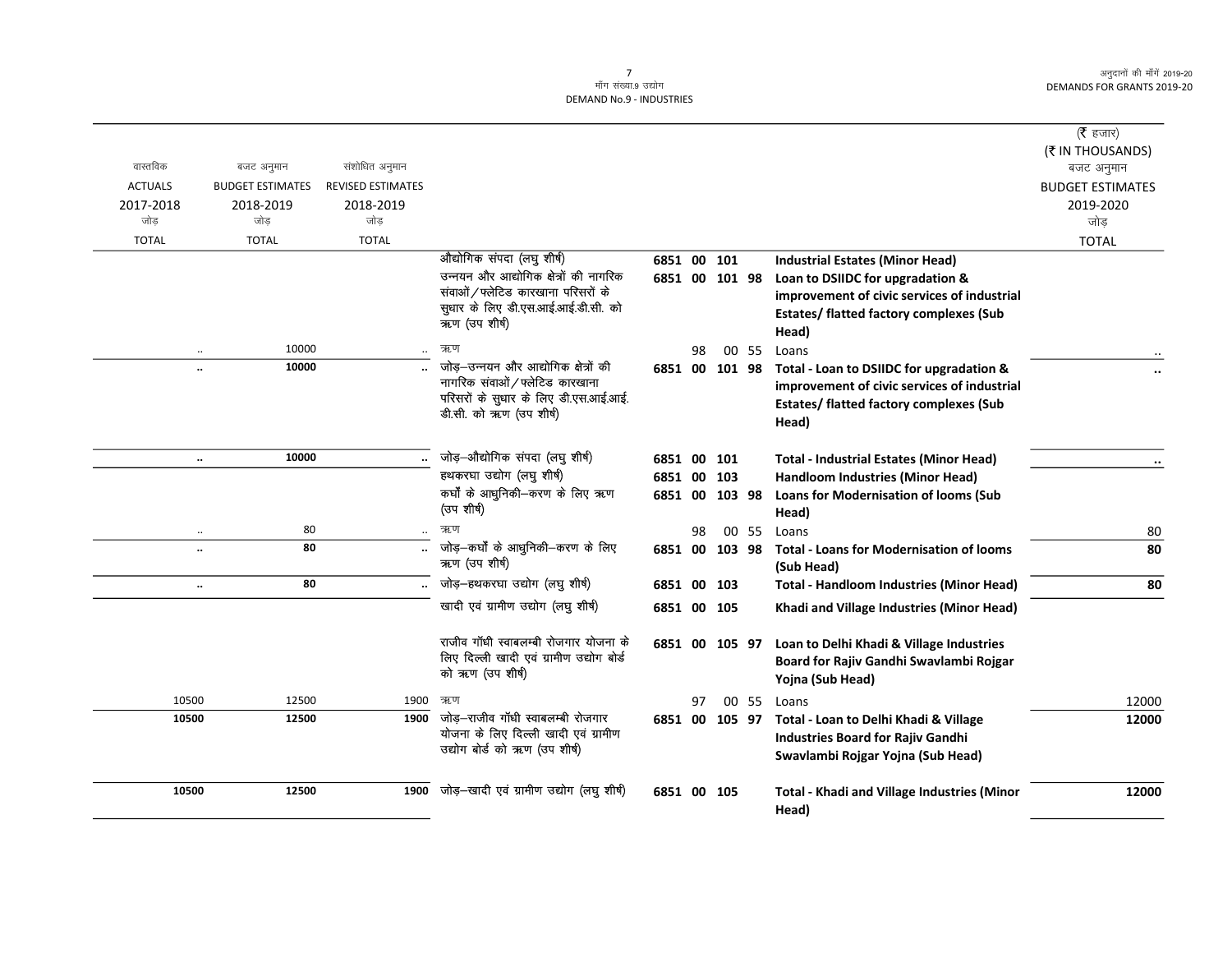|                      |                         |                          |                                                                       |                |    |        |       |                                                    | ( <b>रै</b> हजार)<br>(₹ IN THOUSANDS) |
|----------------------|-------------------------|--------------------------|-----------------------------------------------------------------------|----------------|----|--------|-------|----------------------------------------------------|---------------------------------------|
| वास्तविक             | बजट अनुमान              | संशोधित अनुमान           |                                                                       |                |    |        |       |                                                    | बजट अनुमान                            |
| <b>ACTUALS</b>       | <b>BUDGET ESTIMATES</b> | <b>REVISED ESTIMATES</b> |                                                                       |                |    |        |       |                                                    | <b>BUDGET ESTIMATES</b>               |
| 2017-2018            | 2018-2019               | 2018-2019                |                                                                       |                |    |        |       |                                                    | 2019-2020                             |
| जोड                  | जोड                     | जोड                      |                                                                       |                |    |        |       |                                                    | जोड़                                  |
| <b>TOTAL</b>         | <b>TOTAL</b>            | <b>TOTAL</b>             |                                                                       |                |    |        |       |                                                    | <b>TOTAL</b>                          |
|                      |                         |                          | औद्योगिक संपदा (लघु शीर्ष)                                            | 6851 00        |    | 101    |       | <b>Industrial Estates (Minor Head)</b>             |                                       |
|                      |                         |                          | उन्नयन और आद्योगिक क्षेत्रों की नागरिक                                | 6851 00 101 98 |    |        |       | Loan to DSIIDC for upgradation &                   |                                       |
|                      |                         |                          | संवाओं / फ्लेटिड कारखाना परिसरों के                                   |                |    |        |       | improvement of civic services of industrial        |                                       |
|                      |                         |                          | सुधार के लिए डी.एस.आई.आई.डी.सी. को                                    |                |    |        |       | Estates/ flatted factory complexes (Sub            |                                       |
|                      |                         |                          | ऋण (उप शीर्ष)                                                         |                |    |        |       | Head)                                              |                                       |
|                      | 10000                   |                          | ऋण                                                                    |                | 98 |        | 00 55 | Loans                                              |                                       |
| $\ddot{\phantom{a}}$ | 10000                   |                          | जोड-उन्नयन और आद्योगिक क्षेत्रों की                                   | 6851 00 101 98 |    |        |       | Total - Loan to DSIIDC for upgradation &           |                                       |
|                      |                         |                          | नागरिक संवाओं / फ्लेटिड कारखाना                                       |                |    |        |       | improvement of civic services of industrial        |                                       |
|                      |                         |                          | परिसरों के सुधार के लिए डी.एस.आई.आई.<br>डी.सी. को ऋण (उप शीर्ष)       |                |    |        |       | Estates/ flatted factory complexes (Sub            |                                       |
|                      |                         |                          |                                                                       |                |    |        |       | Head)                                              |                                       |
|                      | 10000                   |                          | जोड़-औद्योगिक संपदा (लघु शीर्ष)                                       | 6851 00 101    |    |        |       | <b>Total - Industrial Estates (Minor Head)</b>     |                                       |
|                      |                         |                          | हथकरघा उद्योग (लघु शीर्ष)                                             | 6851 00 103    |    |        |       | Handloom Industries (Minor Head)                   | $\ddot{\phantom{0}}$                  |
|                      |                         |                          | कर्घों के आधुनिकी-करण के लिए ऋण                                       | 6851 00 103 98 |    |        |       | <b>Loans for Modernisation of looms (Sub</b>       |                                       |
|                      |                         |                          | (उप शीर्ष)                                                            |                |    |        |       | Head)                                              |                                       |
| $\cdot\cdot$         | 80                      |                          | ऋण                                                                    |                | 98 |        | 00 55 | Loans                                              | 80                                    |
|                      | 80                      |                          | जोड़—कर्घों के आधुनिकी—करण के लिए                                     | 6851 00        |    | 103 98 |       | <b>Total - Loans for Modernisation of looms</b>    | 80                                    |
|                      |                         |                          | ऋण (उप शीर्ष)                                                         |                |    |        |       | (Sub Head)                                         |                                       |
| $\ddot{\phantom{0}}$ | 80                      |                          | जोड़—हथकरघा उद्योग (लघु शीर्ष)                                        | 6851 00        |    | 103    |       | <b>Total - Handloom Industries (Minor Head)</b>    | 80                                    |
|                      |                         |                          | खादी एवं ग्रामीण उद्योग (लघु शीर्ष)                                   | 6851 00 105    |    |        |       | Khadi and Village Industries (Minor Head)          |                                       |
|                      |                         |                          |                                                                       |                |    |        |       |                                                    |                                       |
|                      |                         |                          | राजीव गॉधी स्वाबलम्बी रोजगार योजना के                                 | 6851 00 105 97 |    |        |       | Loan to Delhi Khadi & Village Industries           |                                       |
|                      |                         |                          | लिए दिल्ली खादी एवं ग्रामीण उद्योग बोर्ड<br>को ऋण (उप शीर्ष)          |                |    |        |       | Board for Rajiv Gandhi Swavlambi Rojgar            |                                       |
|                      |                         |                          |                                                                       |                |    |        |       | Yojna (Sub Head)                                   |                                       |
| 10500                | 12500                   | 1900                     | ऋण                                                                    |                | 97 |        | 00 55 | Loans                                              | 12000                                 |
| 10500                | 12500                   | 1900                     | जोड़–राजीव गाॅधी स्वाबलम्बी रोजगार                                    | 6851 00        |    | 105 97 |       | Total - Loan to Delhi Khadi & Village              | 12000                                 |
|                      |                         |                          | योजना के लिए दिल्ली खादी एवं ग्रामीण<br>उद्योग बोर्ड को ऋण (उप शीर्ष) |                |    |        |       | <b>Industries Board for Rajiv Gandhi</b>           |                                       |
|                      |                         |                          |                                                                       |                |    |        |       | Swavlambi Rojgar Yojna (Sub Head)                  |                                       |
| 10500                | 12500                   | 1900                     | जोड़—खादी एवं ग्रामीण उद्योग (लघु शीर्ष)                              |                |    |        |       |                                                    |                                       |
|                      |                         |                          |                                                                       | 6851 00 105    |    |        |       | <b>Total - Khadi and Village Industries (Minor</b> | 12000                                 |
|                      |                         |                          |                                                                       |                |    |        |       | Head)                                              |                                       |